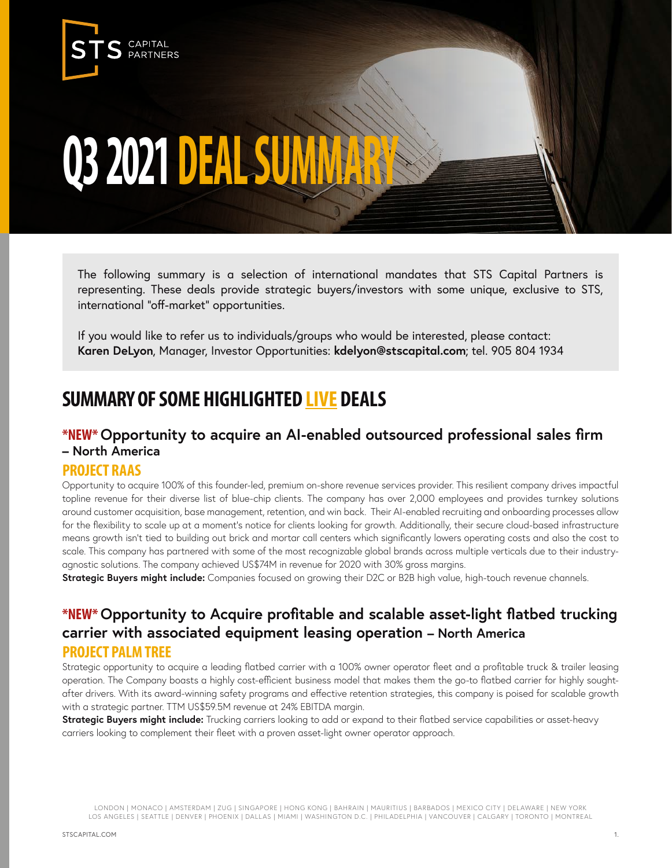

# **Q3 2021 DEAL SUMMAR**

The following summary is a selection of international mandates that STS Capital Partners is representing. These deals provide strategic buyers/investors with some unique, exclusive to STS, international "off-market" opportunities.

If you would like to refer us to individuals/groups who would be interested, please contact: **Karen DeLyon**, Manager, Investor Opportunities: **kdelyon@stscapital.com**; tel. 905 804 1934

# **SUMMARY OF SOME HIGHLIGHTED LIVE DEALS**

## **\*NEW\* Opportunity to acquire an AI-enabled outsourced professional sales firm – North America**

#### **PROJECT RAAS**

Opportunity to acquire 100% of this founder-led, premium on-shore revenue services provider. This resilient company drives impactful topline revenue for their diverse list of blue-chip clients. The company has over 2,000 employees and provides turnkey solutions around customer acquisition, base management, retention, and win back. Their AI-enabled recruiting and onboarding processes allow for the flexibility to scale up at a moment's notice for clients looking for growth. Additionally, their secure cloud-based infrastructure means growth isn't tied to building out brick and mortar call centers which significantly lowers operating costs and also the cost to scale. This company has partnered with some of the most recognizable global brands across multiple verticals due to their industryagnostic solutions. The company achieved US\$74M in revenue for 2020 with 30% gross margins.

**Strategic Buyers might include:** Companies focused on growing their D2C or B2B high value, high-touch revenue channels.

## **\*NEW\* Opportunity to Acquire profitable and scalable asset-light flatbed trucking carrier with associated equipment leasing operation – North America PROJECT PALM TREE**

Strategic opportunity to acquire a leading flatbed carrier with a 100% owner operator fleet and a profitable truck & trailer leasing operation. The Company boasts a highly cost-efficient business model that makes them the go-to flatbed carrier for highly soughtafter drivers. With its award-winning safety programs and effective retention strategies, this company is poised for scalable growth with a strategic partner. TTM US\$59.5M revenue at 24% EBITDA margin.

**Strategic Buyers might include:** Trucking carriers looking to add or expand to their flatbed service capabilities or asset-heavy carriers looking to complement their fleet with a proven asset-light owner operator approach.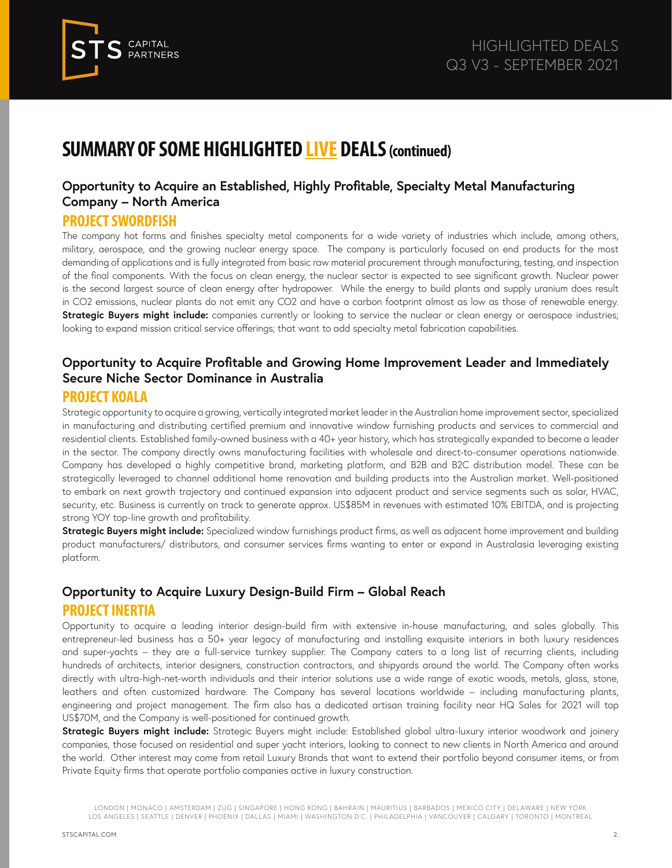

## **Opportunity to Acquire an Established, Highly Profitable, Specialty Metal Manufacturing Company – North America**

#### **PROJECT SWORDFISH**

The company hot forms and finishes specialty metal components for a wide variety of industries which include, among others, military, aerospace, and the growing nuclear energy space. The company is particularly focused on end products for the most demanding of applications and is fully integrated from basic raw material procurement through manufacturing, testing, and inspection of the final components. With the focus on clean energy, the nuclear sector is expected to see significant growth. Nuclear power is the second largest source of clean energy after hydropower. While the energy to build plants and supply uranium does result in CO2 emissions, nuclear plants do not emit any CO2 and have a carbon footprint almost as low as those of renewable energy. **Strategic Buyers might include:** companies currently or looking to service the nuclear or clean energy or aerospace industries; looking to expand mission critical service offerings; that want to add specialty metal fabrication capabilities.

#### **Opportunity to Acquire Profitable and Growing Home Improvement Leader and Immediately Secure Niche Sector Dominance in Australia**

#### **PROJECT KOALA**

Strategic opportunity to acquire a growing, vertically integrated market leader in the Australian home improvement sector, specialized in manufacturing and distributing certified premium and innovative window furnishing products and services to commercial and residential clients. Established family-owned business with a 40+ year history, which has strategically expanded to become a leader in the sector. The company directly owns manufacturing facilities with wholesale and direct-to-consumer operations nationwide. Company has developed a highly competitive brand, marketing platform, and B2B and B2C distribution model. These can be strategically leveraged to channel additional home renovation and building products into the Australian market. Well-positioned to embark on next growth trajectory and continued expansion into adjacent product and service segments such as solar, HVAC, security, etc. Business is currently on track to generate approx. US\$85M in revenues with estimated 10% EBITDA, and is projecting strong YOY top-line growth and profitability.

**Strategic Buyers might include:** Specialized window furnishings product firms, as well as adjacent home improvement and building product manufacturers/ distributors, and consumer services firms wanting to enter or expand in Australasia leveraging existing platform.

## **Opportunity to Acquire Luxury Design-Build Firm – Global Reach PROJECT INERTIA**

Opportunity to acquire a leading interior design-build firm with extensive in-house manufacturing, and sales globally. This entrepreneur-led business has a 50+ year legacy of manufacturing and installing exquisite interiors in both luxury residences and super-yachts – they are a full-service turnkey supplier. The Company caters to a long list of recurring clients, including hundreds of architects, interior designers, construction contractors, and shipyards around the world. The Company often works directly with ultra-high-net-worth individuals and their interior solutions use a wide range of exotic woods, metals, glass, stone, leathers and often customized hardware. The Company has several locations worldwide – including manufacturing plants, engineering and project management. The firm also has a dedicated artisan training facility near HQ Sales for 2021 will top US\$70M, and the Company is well-positioned for continued growth.

**Strategic Buyers might include:** Strategic Buyers might include: Established global ultra-luxury interior woodwork and joinery companies, those focused on residential and super yacht interiors, looking to connect to new clients in North America and around the world. Other interest may come from retail Luxury Brands that want to extend their portfolio beyond consumer items, or from Private Equity firms that operate portfolio companies active in luxury construction.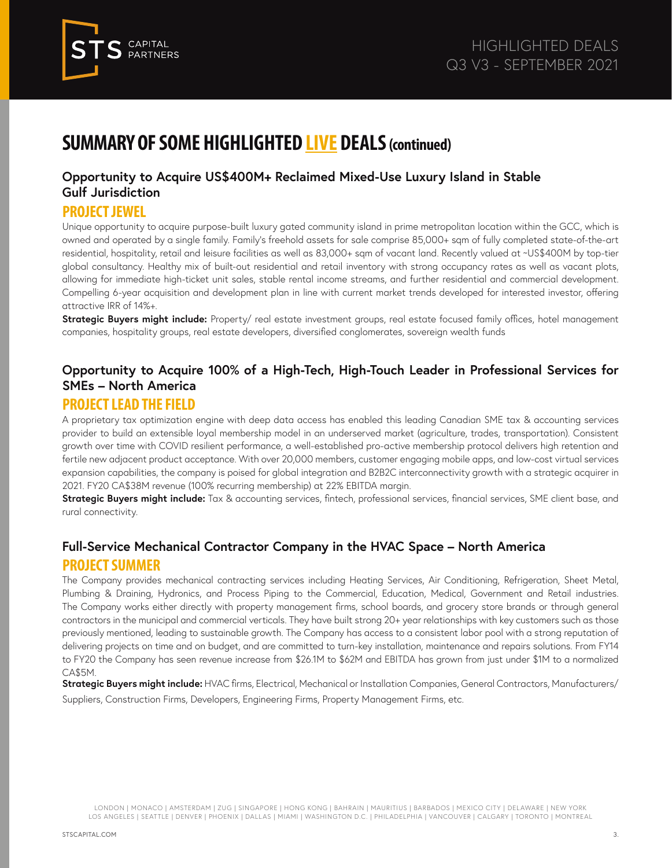

#### **Opportunity to Acquire US\$400M+ Reclaimed Mixed-Use Luxury Island in Stable Gulf Jurisdiction**

#### **PROJECT JEWEL**

Unique opportunity to acquire purpose-built luxury gated community island in prime metropolitan location within the GCC, which is owned and operated by a single family. Family's freehold assets for sale comprise 85,000+ sqm of fully completed state-of-the-art residential, hospitality, retail and leisure facilities as well as 83,000+ sqm of vacant land. Recently valued at ~US\$400M by top-tier global consultancy. Healthy mix of built-out residential and retail inventory with strong occupancy rates as well as vacant plots, allowing for immediate high-ticket unit sales, stable rental income streams, and further residential and commercial development. Compelling 6-year acquisition and development plan in line with current market trends developed for interested investor, offering attractive IRR of 14%+.

**Strategic Buyers might include:** Property/ real estate investment groups, real estate focused family offices, hotel management companies, hospitality groups, real estate developers, diversified conglomerates, sovereign wealth funds

## **Opportunity to Acquire 100% of a High-Tech, High-Touch Leader in Professional Services for SMEs – North America**

#### **PROJECT LEAD THE FIELD**

A proprietary tax optimization engine with deep data access has enabled this leading Canadian SME tax & accounting services provider to build an extensible loyal membership model in an underserved market (agriculture, trades, transportation). Consistent growth over time with COVID resilient performance, a well-established pro-active membership protocol delivers high retention and fertile new adjacent product acceptance. With over 20,000 members, customer engaging mobile apps, and low-cost virtual services expansion capabilities, the company is poised for global integration and B2B2C interconnectivity growth with a strategic acquirer in 2021. FY20 CA\$38M revenue (100% recurring membership) at 22% EBITDA margin.

**Strategic Buyers might include:** Tax & accounting services, fintech, professional services, financial services, SME client base, and rural connectivity.

## **Full-Service Mechanical Contractor Company in the HVAC Space – North America PROJECT SUMMER**

The Company provides mechanical contracting services including Heating Services, Air Conditioning, Refrigeration, Sheet Metal, Plumbing & Draining, Hydronics, and Process Piping to the Commercial, Education, Medical, Government and Retail industries. The Company works either directly with property management firms, school boards, and grocery store brands or through general contractors in the municipal and commercial verticals. They have built strong 20+ year relationships with key customers such as those previously mentioned, leading to sustainable growth. The Company has access to a consistent labor pool with a strong reputation of delivering projects on time and on budget, and are committed to turn-key installation, maintenance and repairs solutions. From FY14 to FY20 the Company has seen revenue increase from \$26.1M to \$62M and EBITDA has grown from just under \$1M to a normalized CA\$5M.

**Strategic Buyers might include:** HVAC firms, Electrical, Mechanical or Installation Companies, General Contractors, Manufacturers/ Suppliers, Construction Firms, Developers, Engineering Firms, Property Management Firms, etc.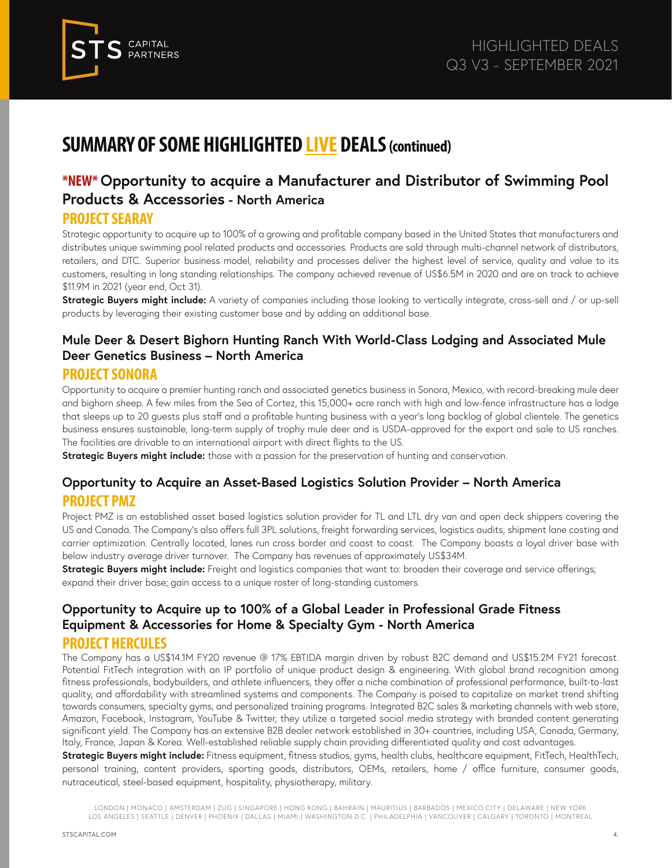

## **\*NEW\* Opportunity to acquire a Manufacturer and Distributor of Swimming Pool Products & Accessories - North America**

#### **PROJECT SEARAY**

Strategic opportunity to acquire up to 100% of a growing and profitable company based in the United States that manufacturers and distributes unique swimming pool related products and accessories. Products are sold through multi-channel network of distributors, retailers, and DTC. Superior business model, reliability and processes deliver the highest level of service, quality and value to its customers, resulting in long standing relationships. The company achieved revenue of US\$6.5M in 2020 and are on track to achieve \$11.9M in 2021 (year end, Oct 31).

**Strategic Buyers might include:** A variety of companies including those looking to vertically integrate, cross-sell and / or up-sell products by leveraging their existing customer base and by adding an additional base.

## **Mule Deer & Desert Bighorn Hunting Ranch With World-Class Lodging and Associated Mule Deer Genetics Business – North America**

#### **PROJECT SONORA**

Opportunity to acquire a premier hunting ranch and associated genetics business in Sonora, Mexico, with record-breaking mule deer and bighorn sheep. A few miles from the Sea of Cortez, this 15,000+ acre ranch with high and low-fence infrastructure has a lodge that sleeps up to 20 guests plus staff and a profitable hunting business with a year's long backlog of global clientele. The genetics business ensures sustainable, long-term supply of trophy mule deer and is USDA-approved for the export and sale to US ranches. The facilities are drivable to an international airport with direct flights to the US.

**Strategic Buyers might include:** those with a passion for the preservation of hunting and conservation.

#### **Opportunity to Acquire an Asset-Based Logistics Solution Provider – North America PROJECT PMZ**

Project PMZ is an established asset based logistics solution provider for TL and LTL dry van and open deck shippers covering the US and Canada. The Company's also offers full 3PL solutions, freight forwarding services, logistics audits, shipment lane costing and carrier optimization. Centrally located, lanes run cross border and coast to coast. The Company boasts a loyal driver base with below industry average driver turnover. The Company has revenues of approximately US\$34M.

**Strategic Buyers might include:** Freight and logistics companies that want to: broaden their coverage and service offerings; expand their driver base; gain access to a unique roster of long-standing customers.

#### **Opportunity to Acquire up to 100% of a Global Leader in Professional Grade Fitness Equipment & Accessories for Home & Specialty Gym - North America**

#### **PROJECT HERCULES**

The Company has a US\$14.1M FY20 revenue @ 17% EBTIDA margin driven by robust B2C demand and US\$15.2M FY21 forecast. Potential FitTech integration with an IP portfolio of unique product design & engineering. With global brand recognition among fitness professionals, bodybuilders, and athlete influencers, they offer a niche combination of professional performance, built-to-last quality, and affordability with streamlined systems and components. The Company is poised to capitalize on market trend shifting towards consumers, specialty gyms, and personalized training programs. Integrated B2C sales & marketing channels with web store, Amazon, Facebook, Instagram, YouTube & Twitter, they utilize a targeted social media strategy with branded content generating significant yield. The Company has an extensive B2B dealer network established in 30+ countries, including USA, Canada, Germany, Italy, France, Japan & Korea. Well-established reliable supply chain providing differentiated quality and cost advantages.

**Strategic Buyers might include:** Fitness equipment, fitness studios, gyms, health clubs, healthcare equipment, FitTech, HealthTech, personal training, content providers, sporting goods, distributors, OEMs, retailers, home / office furniture, consumer goods, nutraceutical, steel-based equipment, hospitality, physiotherapy, military.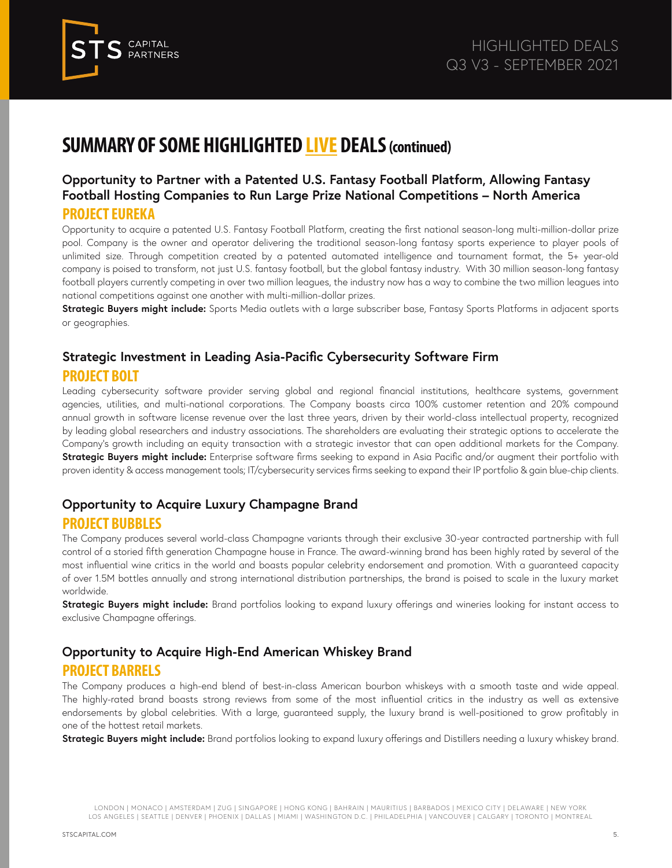

#### **Opportunity to Partner with a Patented U.S. Fantasy Football Platform, Allowing Fantasy Football Hosting Companies to Run Large Prize National Competitions – North America PROJECT EUREKA**

Opportunity to acquire a patented U.S. Fantasy Football Platform, creating the first national season-long multi-million-dollar prize pool. Company is the owner and operator delivering the traditional season-long fantasy sports experience to player pools of unlimited size. Through competition created by a patented automated intelligence and tournament format, the 5+ year-old company is poised to transform, not just U.S. fantasy football, but the global fantasy industry. With 30 million season-long fantasy football players currently competing in over two million leagues, the industry now has a way to combine the two million leagues into national competitions against one another with multi-million-dollar prizes.

**Strategic Buyers might include:** Sports Media outlets with a large subscriber base, Fantasy Sports Platforms in adjacent sports or geographies.

#### **Strategic Investment in Leading Asia-Pacific Cybersecurity Software Firm PROJECT BOLT**

Leading cybersecurity software provider serving global and regional financial institutions, healthcare systems, government agencies, utilities, and multi-national corporations. The Company boasts circa 100% customer retention and 20% compound annual growth in software license revenue over the last three years, driven by their world-class intellectual property, recognized by leading global researchers and industry associations. The shareholders are evaluating their strategic options to accelerate the Company's growth including an equity transaction with a strategic investor that can open additional markets for the Company. **Strategic Buyers might include:** Enterprise software firms seeking to expand in Asia Pacific and/or augment their portfolio with proven identity & access management tools; IT/cybersecurity services firms seeking to expand their IP portfolio & gain blue-chip clients.

#### **Opportunity to Acquire Luxury Champagne Brand PROJECT BUBBLES**

The Company produces several world-class Champagne variants through their exclusive 30-year contracted partnership with full control of a storied fifth generation Champagne house in France. The award-winning brand has been highly rated by several of the most influential wine critics in the world and boasts popular celebrity endorsement and promotion. With a guaranteed capacity of over 1.5M bottles annually and strong international distribution partnerships, the brand is poised to scale in the luxury market worldwide.

**Strategic Buyers might include:** Brand portfolios looking to expand luxury offerings and wineries looking for instant access to exclusive Champagne offerings.

#### **Opportunity to Acquire High-End American Whiskey Brand PROJECT BARRELS**

The Company produces a high-end blend of best-in-class American bourbon whiskeys with a smooth taste and wide appeal. The highly-rated brand boasts strong reviews from some of the most influential critics in the industry as well as extensive endorsements by global celebrities. With a large, guaranteed supply, the luxury brand is well-positioned to grow profitably in one of the hottest retail markets.

**Strategic Buyers might include:** Brand portfolios looking to expand luxury offerings and Distillers needing a luxury whiskey brand.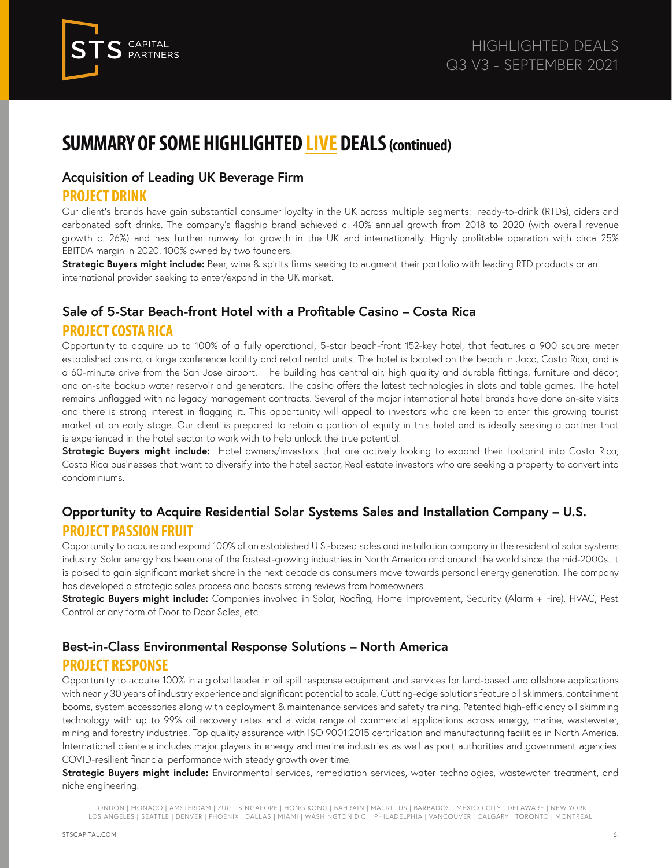

#### **Acquisition of Leading UK Beverage Firm**

#### **PROJECT DRINK**

Our client's brands have gain substantial consumer loyalty in the UK across multiple segments: ready-to-drink (RTDs), ciders and carbonated soft drinks. The company's flagship brand achieved c. 40% annual growth from 2018 to 2020 (with overall revenue growth c. 26%) and has further runway for growth in the UK and internationally. Highly profitable operation with circa 25% EBITDA margin in 2020. 100% owned by two founders.

**Strategic Buyers might include:** Beer, wine & spirits firms seeking to augment their portfolio with leading RTD products or an international provider seeking to enter/expand in the UK market.

## **Sale of 5-Star Beach-front Hotel with a Profitable Casino – Costa Rica PROJECT COSTA RICA**

Opportunity to acquire up to 100% of a fully operational, 5-star beach-front 152-key hotel, that features a 900 square meter established casino, a large conference facility and retail rental units. The hotel is located on the beach in Jaco, Costa Rica, and is a 60-minute drive from the San Jose airport. The building has central air, high quality and durable fittings, furniture and décor, and on-site backup water reservoir and generators. The casino offers the latest technologies in slots and table games. The hotel remains unflagged with no legacy management contracts. Several of the major international hotel brands have done on-site visits and there is strong interest in flagging it. This opportunity will appeal to investors who are keen to enter this growing tourist market at an early stage. Our client is prepared to retain a portion of equity in this hotel and is ideally seeking a partner that is experienced in the hotel sector to work with to help unlock the true potential.

**Strategic Buyers might include:** Hotel owners/investors that are actively looking to expand their footprint into Costa Rica, Costa Rica businesses that want to diversify into the hotel sector, Real estate investors who are seeking a property to convert into condominiums.

#### **Opportunity to Acquire Residential Solar Systems Sales and Installation Company – U.S. PROJECT PASSION FRUIT**

Opportunity to acquire and expand 100% of an established U.S.-based sales and installation company in the residential solar systems industry. Solar energy has been one of the fastest-growing industries in North America and around the world since the mid-2000s. It is poised to gain significant market share in the next decade as consumers move towards personal energy generation. The company has developed a strategic sales process and boasts strong reviews from homeowners.

**Strategic Buyers might include:** Companies involved in Solar, Roofing, Home Improvement, Security (Alarm + Fire), HVAC, Pest Control or any form of Door to Door Sales, etc.

#### **Best-in-Class Environmental Response Solutions – North America PROJECT RESPONSE**

Opportunity to acquire 100% in a global leader in oil spill response equipment and services for land-based and offshore applications with nearly 30 years of industry experience and significant potential to scale. Cutting-edge solutions feature oil skimmers, containment booms, system accessories along with deployment & maintenance services and safety training. Patented high-efficiency oil skimming technology with up to 99% oil recovery rates and a wide range of commercial applications across energy, marine, wastewater, mining and forestry industries. Top quality assurance with ISO 9001:2015 certification and manufacturing facilities in North America. International clientele includes major players in energy and marine industries as well as port authorities and government agencies. COVID-resilient financial performance with steady growth over time.

Strategic Buyers might include: Environmental services, remediation services, water technologies, wastewater treatment, and niche engineering.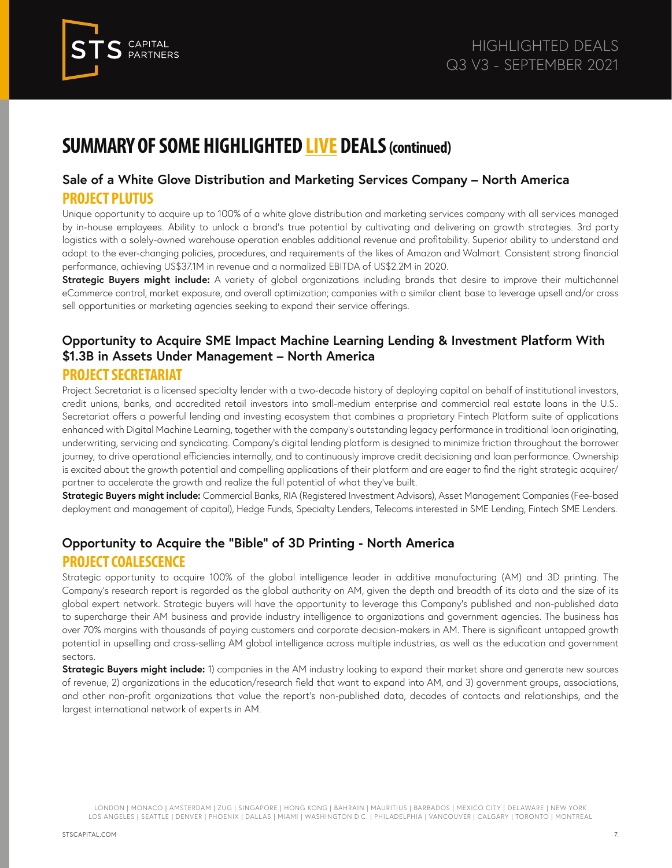

#### **Sale of a White Glove Distribution and Marketing Services Company – North America PROJECT PLUTUS**

Unique opportunity to acquire up to 100% of a white glove distribution and marketing services company with all services managed by in-house employees. Ability to unlock a brand's true potential by cultivating and delivering on growth strategies. 3rd party logistics with a solely-owned warehouse operation enables additional revenue and profitability. Superior ability to understand and adapt to the ever-changing policies, procedures, and requirements of the likes of Amazon and Walmart. Consistent strong financial performance, achieving US\$37.1M in revenue and a normalized EBITDA of US\$2.2M in 2020.

**Strategic Buyers might include:** A variety of global organizations including brands that desire to improve their multichannel eCommerce control, market exposure, and overall optimization; companies with a similar client base to leverage upsell and/or cross sell opportunities or marketing agencies seeking to expand their service offerings.

## **Opportunity to Acquire SME Impact Machine Learning Lending & Investment Platform With \$1.3B in Assets Under Management – North America**

#### **PROJECT SECRETARIAT**

Project Secretariat is a licensed specialty lender with a two-decade history of deploying capital on behalf of institutional investors, credit unions, banks, and accredited retail investors into small-medium enterprise and commercial real estate loans in the U.S.. Secretariat offers a powerful lending and investing ecosystem that combines a proprietary Fintech Platform suite of applications enhanced with Digital Machine Learning, together with the company's outstanding legacy performance in traditional loan originating, underwriting, servicing and syndicating. Company's digital lending platform is designed to minimize friction throughout the borrower journey, to drive operational efficiencies internally, and to continuously improve credit decisioning and loan performance. Ownership is excited about the growth potential and compelling applications of their platform and are eager to find the right strategic acquirer/ partner to accelerate the growth and realize the full potential of what they've built.

**Strategic Buyers might include:** Commercial Banks, RIA (Registered Investment Advisors), Asset Management Companies (Fee-based deployment and management of capital), Hedge Funds, Specialty Lenders, Telecoms interested in SME Lending, Fintech SME Lenders.

## **Opportunity to Acquire the "Bible" of 3D Printing - North America PROJECT COALESCENCE**

Strategic opportunity to acquire 100% of the global intelligence leader in additive manufacturing (AM) and 3D printing. The Company's research report is regarded as the global authority on AM, given the depth and breadth of its data and the size of its global expert network. Strategic buyers will have the opportunity to leverage this Company's published and non-published data to supercharge their AM business and provide industry intelligence to organizations and government agencies. The business has over 70% margins with thousands of paying customers and corporate decision-makers in AM. There is significant untapped growth potential in upselling and cross-selling AM global intelligence across multiple industries, as well as the education and government sectors.

**Strategic Buyers might include:** 1) companies in the AM industry looking to expand their market share and generate new sources of revenue, 2) organizations in the education/research field that want to expand into AM, and 3) government groups, associations, and other non-profit organizations that value the report's non-published data, decades of contacts and relationships, and the largest international network of experts in AM.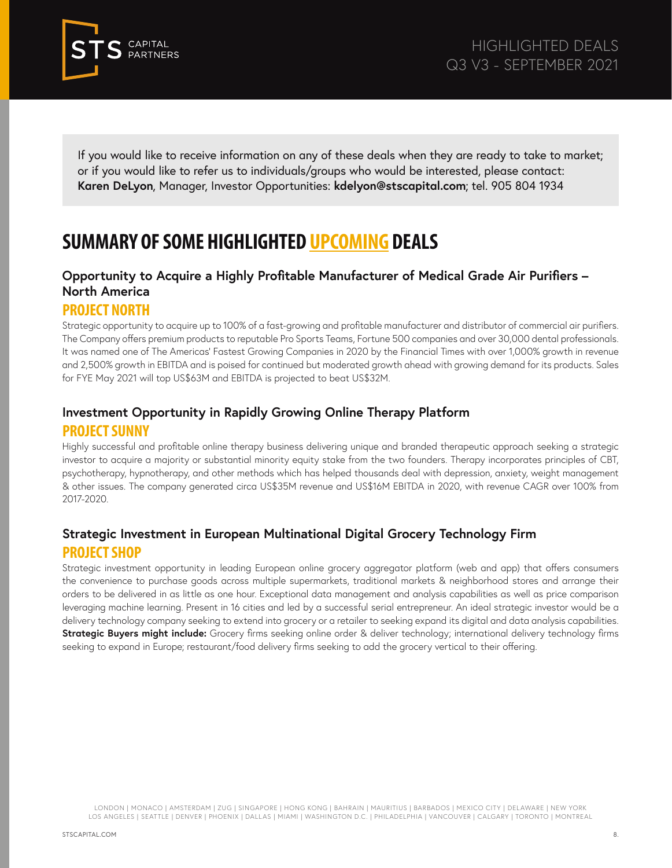

If you would like to receive information on any of these deals when they are ready to take to market; or if you would like to refer us to individuals/groups who would be interested, please contact: **Karen DeLyon**, Manager, Investor Opportunities: **kdelyon@stscapital.com**; tel. 905 804 1934

# **SUMMARY OF SOME HIGHLIGHTED UPCOMING DEALS**

#### **Opportunity to Acquire a Highly Profitable Manufacturer of Medical Grade Air Purifiers – North America**

#### **PROJECT NORTH**

Strategic opportunity to acquire up to 100% of a fast-growing and profitable manufacturer and distributor of commercial air purifiers. The Company offers premium products to reputable Pro Sports Teams, Fortune 500 companies and over 30,000 dental professionals. It was named one of The Americas' Fastest Growing Companies in 2020 by the Financial Times with over 1,000% growth in revenue and 2,500% growth in EBITDA and is poised for continued but moderated growth ahead with growing demand for its products. Sales for FYE May 2021 will top US\$63M and EBITDA is projected to beat US\$32M.

#### **Investment Opportunity in Rapidly Growing Online Therapy Platform**

#### **PROJECT SUNNY**

Highly successful and profitable online therapy business delivering unique and branded therapeutic approach seeking a strategic investor to acquire a majority or substantial minority equity stake from the two founders. Therapy incorporates principles of CBT, psychotherapy, hypnotherapy, and other methods which has helped thousands deal with depression, anxiety, weight management & other issues. The company generated circa US\$35M revenue and US\$16M EBITDA in 2020, with revenue CAGR over 100% from 2017-2020.

#### **Strategic Investment in European Multinational Digital Grocery Technology Firm PROJECT SHOP**

Strategic investment opportunity in leading European online grocery aggregator platform (web and app) that offers consumers the convenience to purchase goods across multiple supermarkets, traditional markets & neighborhood stores and arrange their orders to be delivered in as little as one hour. Exceptional data management and analysis capabilities as well as price comparison leveraging machine learning. Present in 16 cities and led by a successful serial entrepreneur. An ideal strategic investor would be a delivery technology company seeking to extend into grocery or a retailer to seeking expand its digital and data analysis capabilities. **Strategic Buyers might include:** Grocery firms seeking online order & deliver technology; international delivery technology firms seeking to expand in Europe; restaurant/food delivery firms seeking to add the grocery vertical to their offering.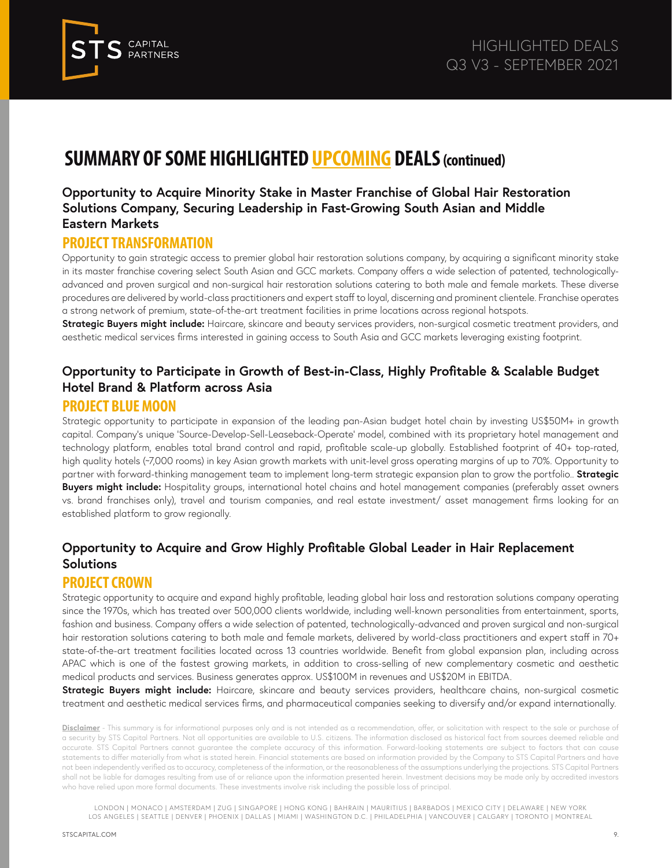

#### **Opportunity to Acquire Minority Stake in Master Franchise of Global Hair Restoration Solutions Company, Securing Leadership in Fast-Growing South Asian and Middle Eastern Markets**

#### **PROJECT TRANSFORMATION**

Opportunity to gain strategic access to premier global hair restoration solutions company, by acquiring a significant minority stake in its master franchise covering select South Asian and GCC markets. Company offers a wide selection of patented, technologicallyadvanced and proven surgical and non-surgical hair restoration solutions catering to both male and female markets. These diverse procedures are delivered by world-class practitioners and expert staff to loyal, discerning and prominent clientele. Franchise operates a strong network of premium, state-of-the-art treatment facilities in prime locations across regional hotspots.

**Strategic Buyers might include:** Haircare, skincare and beauty services providers, non-surgical cosmetic treatment providers, and aesthetic medical services firms interested in gaining access to South Asia and GCC markets leveraging existing footprint.

## **Opportunity to Participate in Growth of Best-in-Class, Highly Profitable & Scalable Budget Hotel Brand & Platform across Asia**

#### **PROJECT BLUE MOON**

Strategic opportunity to participate in expansion of the leading pan-Asian budget hotel chain by investing US\$50M+ in growth capital. Company's unique 'Source-Develop-Sell-Leaseback-Operate' model, combined with its proprietary hotel management and technology platform, enables total brand control and rapid, profitable scale-up globally. Established footprint of 40+ top-rated, high quality hotels (~7,000 rooms) in key Asian growth markets with unit-level gross operating margins of up to 70%. Opportunity to partner with forward-thinking management team to implement long-term strategic expansion plan to grow the portfolio.. **Strategic Buyers might include:** Hospitality groups, international hotel chains and hotel management companies (preferably asset owners vs. brand franchises only), travel and tourism companies, and real estate investment/ asset management firms looking for an established platform to grow regionally.

#### **Opportunity to Acquire and Grow Highly Profitable Global Leader in Hair Replacement Solutions**

#### **PROJECT CROWN**

Strategic opportunity to acquire and expand highly profitable, leading global hair loss and restoration solutions company operating since the 1970s, which has treated over 500,000 clients worldwide, including well-known personalities from entertainment, sports, fashion and business. Company offers a wide selection of patented, technologically-advanced and proven surgical and non-surgical hair restoration solutions catering to both male and female markets, delivered by world-class practitioners and expert staff in 70+ state-of-the-art treatment facilities located across 13 countries worldwide. Benefit from global expansion plan, including across APAC which is one of the fastest growing markets, in addition to cross-selling of new complementary cosmetic and aesthetic medical products and services. Business generates approx. US\$100M in revenues and US\$20M in EBITDA.

**Strategic Buyers might include:** Haircare, skincare and beauty services providers, healthcare chains, non-surgical cosmetic treatment and aesthetic medical services firms, and pharmaceutical companies seeking to diversify and/or expand internationally.

**Disclaimer** - This summary is for informational purposes only and is not intended as a recommendation, offer, or solicitation with respect to the sale or purchase of a security by STS Capital Partners. Not all opportunities are available to U.S. citizens. The information disclosed as historical fact from sources deemed reliable and accurate. STS Capital Partners cannot guarantee the complete accuracy of this information. Forward-looking statements are subject to factors that can cause statements to differ materially from what is stated herein. Financial statements are based on information provided by the Company to STS Capital Partners and have not been independently verified as to accuracy, completeness of the information, or the reasonableness of the assumptions underlying the projections. STS Capital Partners shall not be liable for damages resulting from use of or reliance upon the information presented herein. Investment decisions may be made only by accredited investors who have relied upon more formal documents. These investments involve risk including the possible loss of principal.